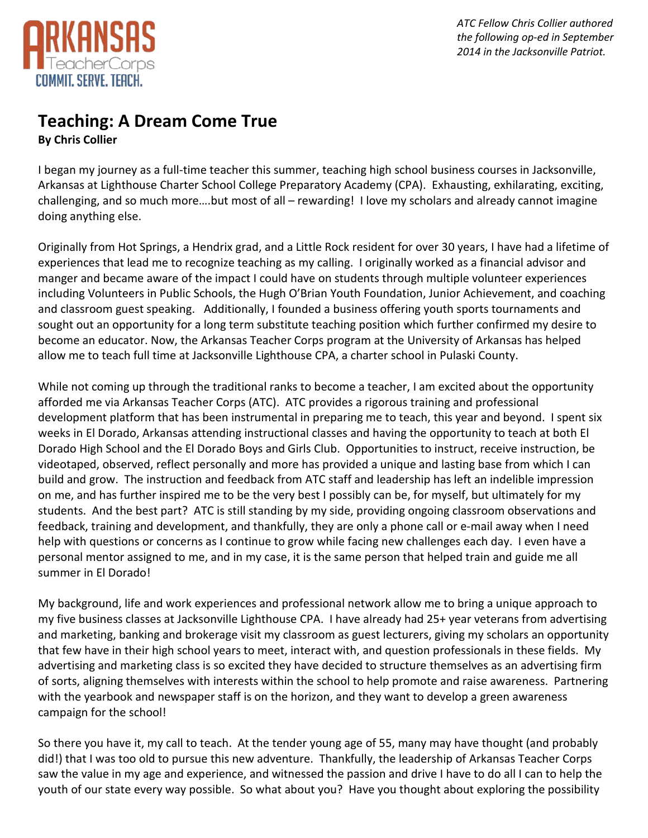

*ATC Fellow Chris Collier authored the following op-ed in September 2014 in the Jacksonville Patriot.*

## **Teaching: A Dream Come True By Chris Collier**

I began my journey as a full-time teacher this summer, teaching high school business courses in Jacksonville, Arkansas at Lighthouse Charter School College Preparatory Academy (CPA). Exhausting, exhilarating, exciting, challenging, and so much more….but most of all – rewarding! I love my scholars and already cannot imagine doing anything else.

Originally from Hot Springs, a Hendrix grad, and a Little Rock resident for over 30 years, I have had a lifetime of experiences that lead me to recognize teaching as my calling. I originally worked as a financial advisor and manger and became aware of the impact I could have on students through multiple volunteer experiences including Volunteers in Public Schools, the Hugh O'Brian Youth Foundation, Junior Achievement, and coaching and classroom guest speaking. Additionally, I founded a business offering youth sports tournaments and sought out an opportunity for a long term substitute teaching position which further confirmed my desire to become an educator. Now, the Arkansas Teacher Corps program at the University of Arkansas has helped allow me to teach full time at Jacksonville Lighthouse CPA, a charter school in Pulaski County.

While not coming up through the traditional ranks to become a teacher, I am excited about the opportunity afforded me via Arkansas Teacher Corps (ATC). ATC provides a rigorous training and professional development platform that has been instrumental in preparing me to teach, this year and beyond. I spent six weeks in El Dorado, Arkansas attending instructional classes and having the opportunity to teach at both El Dorado High School and the El Dorado Boys and Girls Club. Opportunities to instruct, receive instruction, be videotaped, observed, reflect personally and more has provided a unique and lasting base from which I can build and grow. The instruction and feedback from ATC staff and leadership has left an indelible impression on me, and has further inspired me to be the very best I possibly can be, for myself, but ultimately for my students. And the best part? ATC is still standing by my side, providing ongoing classroom observations and feedback, training and development, and thankfully, they are only a phone call or e-mail away when I need help with questions or concerns as I continue to grow while facing new challenges each day. I even have a personal mentor assigned to me, and in my case, it is the same person that helped train and guide me all summer in El Dorado!

My background, life and work experiences and professional network allow me to bring a unique approach to my five business classes at Jacksonville Lighthouse CPA. I have already had 25+ year veterans from advertising and marketing, banking and brokerage visit my classroom as guest lecturers, giving my scholars an opportunity that few have in their high school years to meet, interact with, and question professionals in these fields. My advertising and marketing class is so excited they have decided to structure themselves as an advertising firm of sorts, aligning themselves with interests within the school to help promote and raise awareness. Partnering with the yearbook and newspaper staff is on the horizon, and they want to develop a green awareness campaign for the school!

So there you have it, my call to teach. At the tender young age of 55, many may have thought (and probably did!) that I was too old to pursue this new adventure. Thankfully, the leadership of Arkansas Teacher Corps saw the value in my age and experience, and witnessed the passion and drive I have to do all I can to help the youth of our state every way possible. So what about you? Have you thought about exploring the possibility